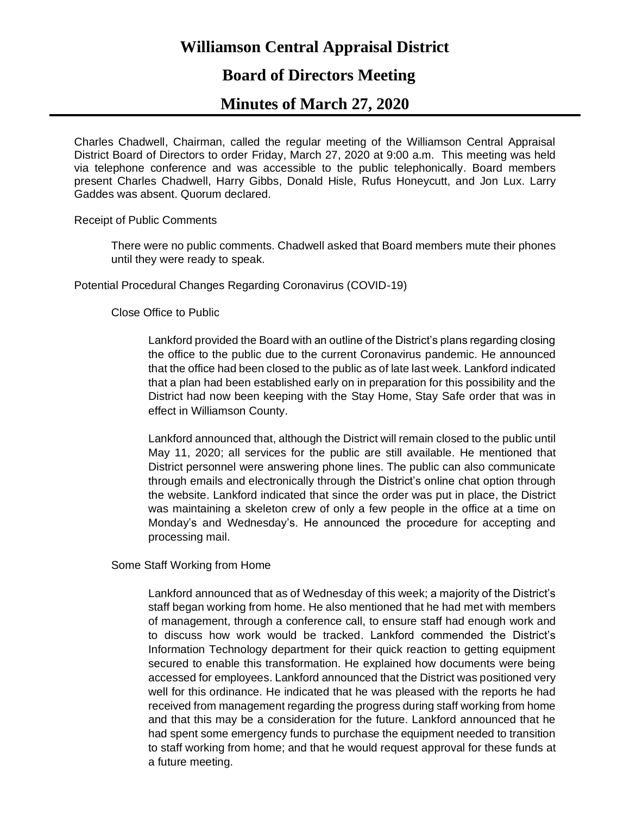# **Williamson Central Appraisal District**

## **Board of Directors Meeting**

### **Minutes of March 27, 2020**

Charles Chadwell, Chairman, called the regular meeting of the Williamson Central Appraisal District Board of Directors to order Friday, March 27, 2020 at 9:00 a.m. This meeting was held via telephone conference and was accessible to the public telephonically. Board members present Charles Chadwell, Harry Gibbs, Donald Hisle, Rufus Honeycutt, and Jon Lux. Larry Gaddes was absent. Quorum declared.

Receipt of Public Comments

There were no public comments. Chadwell asked that Board members mute their phones until they were ready to speak.

Potential Procedural Changes Regarding Coronavirus (COVID-19)

#### Close Office to Public

Lankford provided the Board with an outline of the District's plans regarding closing the office to the public due to the current Coronavirus pandemic. He announced that the office had been closed to the public as of late last week. Lankford indicated that a plan had been established early on in preparation for this possibility and the District had now been keeping with the Stay Home, Stay Safe order that was in effect in Williamson County.

Lankford announced that, although the District will remain closed to the public until May 11, 2020; all services for the public are still available. He mentioned that District personnel were answering phone lines. The public can also communicate through emails and electronically through the District's online chat option through the website. Lankford indicated that since the order was put in place, the District was maintaining a skeleton crew of only a few people in the office at a time on Monday's and Wednesday's. He announced the procedure for accepting and processing mail.

Some Staff Working from Home

Lankford announced that as of Wednesday of this week; a majority of the District's staff began working from home. He also mentioned that he had met with members of management, through a conference call, to ensure staff had enough work and to discuss how work would be tracked. Lankford commended the District's Information Technology department for their quick reaction to getting equipment secured to enable this transformation. He explained how documents were being accessed for employees. Lankford announced that the District was positioned very well for this ordinance. He indicated that he was pleased with the reports he had received from management regarding the progress during staff working from home and that this may be a consideration for the future. Lankford announced that he had spent some emergency funds to purchase the equipment needed to transition to staff working from home; and that he would request approval for these funds at a future meeting.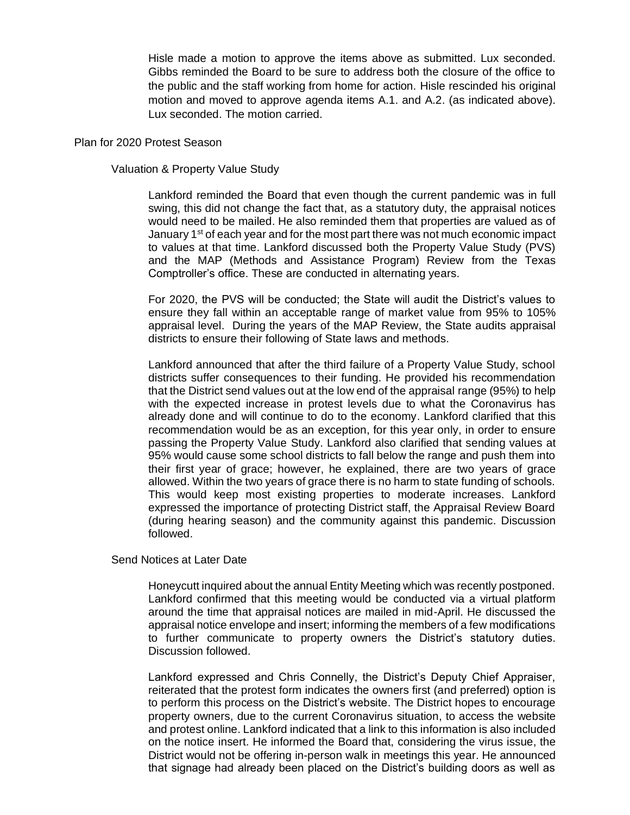Hisle made a motion to approve the items above as submitted. Lux seconded. Gibbs reminded the Board to be sure to address both the closure of the office to the public and the staff working from home for action. Hisle rescinded his original motion and moved to approve agenda items A.1. and A.2. (as indicated above). Lux seconded. The motion carried.

#### Plan for 2020 Protest Season

#### Valuation & Property Value Study

Lankford reminded the Board that even though the current pandemic was in full swing, this did not change the fact that, as a statutory duty, the appraisal notices would need to be mailed. He also reminded them that properties are valued as of January  $1^{st}$  of each year and for the most part there was not much economic impact to values at that time. Lankford discussed both the Property Value Study (PVS) and the MAP (Methods and Assistance Program) Review from the Texas Comptroller's office. These are conducted in alternating years.

For 2020, the PVS will be conducted; the State will audit the District's values to ensure they fall within an acceptable range of market value from 95% to 105% appraisal level. During the years of the MAP Review, the State audits appraisal districts to ensure their following of State laws and methods.

Lankford announced that after the third failure of a Property Value Study, school districts suffer consequences to their funding. He provided his recommendation that the District send values out at the low end of the appraisal range (95%) to help with the expected increase in protest levels due to what the Coronavirus has already done and will continue to do to the economy. Lankford clarified that this recommendation would be as an exception, for this year only, in order to ensure passing the Property Value Study. Lankford also clarified that sending values at 95% would cause some school districts to fall below the range and push them into their first year of grace; however, he explained, there are two years of grace allowed. Within the two years of grace there is no harm to state funding of schools. This would keep most existing properties to moderate increases. Lankford expressed the importance of protecting District staff, the Appraisal Review Board (during hearing season) and the community against this pandemic. Discussion followed.

Send Notices at Later Date

Honeycutt inquired about the annual Entity Meeting which was recently postponed. Lankford confirmed that this meeting would be conducted via a virtual platform around the time that appraisal notices are mailed in mid-April. He discussed the appraisal notice envelope and insert; informing the members of a few modifications to further communicate to property owners the District's statutory duties. Discussion followed.

Lankford expressed and Chris Connelly, the District's Deputy Chief Appraiser, reiterated that the protest form indicates the owners first (and preferred) option is to perform this process on the District's website. The District hopes to encourage property owners, due to the current Coronavirus situation, to access the website and protest online. Lankford indicated that a link to this information is also included on the notice insert. He informed the Board that, considering the virus issue, the District would not be offering in-person walk in meetings this year. He announced that signage had already been placed on the District's building doors as well as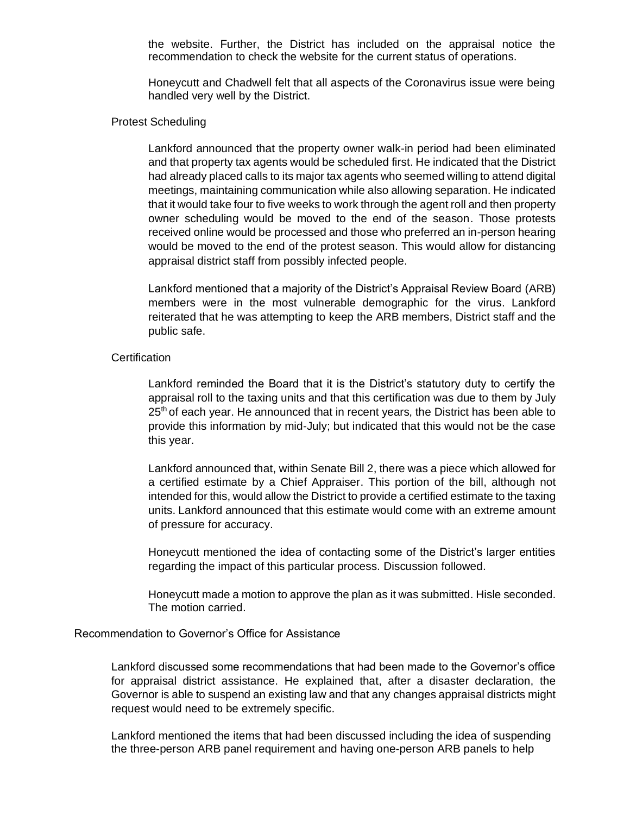the website. Further, the District has included on the appraisal notice the recommendation to check the website for the current status of operations.

Honeycutt and Chadwell felt that all aspects of the Coronavirus issue were being handled very well by the District.

#### Protest Scheduling

Lankford announced that the property owner walk-in period had been eliminated and that property tax agents would be scheduled first. He indicated that the District had already placed calls to its major tax agents who seemed willing to attend digital meetings, maintaining communication while also allowing separation. He indicated that it would take four to five weeks to work through the agent roll and then property owner scheduling would be moved to the end of the season. Those protests received online would be processed and those who preferred an in-person hearing would be moved to the end of the protest season. This would allow for distancing appraisal district staff from possibly infected people.

Lankford mentioned that a majority of the District's Appraisal Review Board (ARB) members were in the most vulnerable demographic for the virus. Lankford reiterated that he was attempting to keep the ARB members, District staff and the public safe.

#### **Certification**

Lankford reminded the Board that it is the District's statutory duty to certify the appraisal roll to the taxing units and that this certification was due to them by July  $25<sup>th</sup>$  of each year. He announced that in recent years, the District has been able to provide this information by mid-July; but indicated that this would not be the case this year.

Lankford announced that, within Senate Bill 2, there was a piece which allowed for a certified estimate by a Chief Appraiser. This portion of the bill, although not intended for this, would allow the District to provide a certified estimate to the taxing units. Lankford announced that this estimate would come with an extreme amount of pressure for accuracy.

Honeycutt mentioned the idea of contacting some of the District's larger entities regarding the impact of this particular process. Discussion followed.

Honeycutt made a motion to approve the plan as it was submitted. Hisle seconded. The motion carried.

#### Recommendation to Governor's Office for Assistance

Lankford discussed some recommendations that had been made to the Governor's office for appraisal district assistance. He explained that, after a disaster declaration, the Governor is able to suspend an existing law and that any changes appraisal districts might request would need to be extremely specific.

Lankford mentioned the items that had been discussed including the idea of suspending the three-person ARB panel requirement and having one-person ARB panels to help